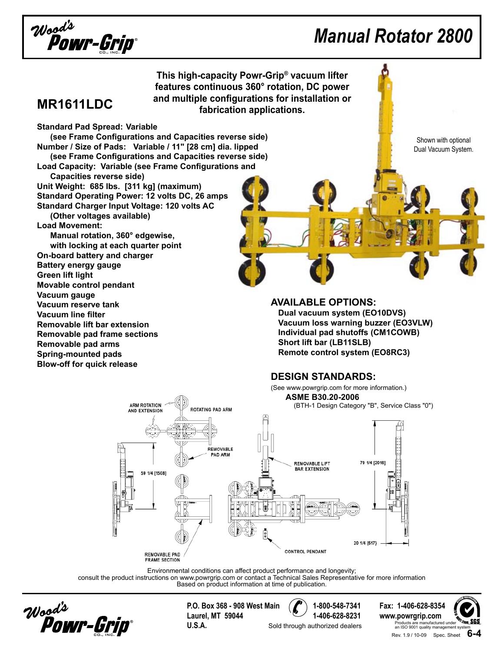

## *Manual Rotator 2800*

**This high-capacity Powr-Grip® vacuum lifter features continuous 360° rotation, DC power and multiple configurations for installation or fabrication applications.** 

### **MR1611LDC**

**Standard Pad Spread: Variable**

 **(see Frame Configurations and Capacities reverse side) Number / Size of Pads: Variable / 11" [28 cm] dia. lipped (see Frame Configurations and Capacities reverse side) Load Capacity: Variable (see Frame Configurations and Capacities reverse side)**

**Unit Weight: 685 lbs. [311 kg] (maximum) Standard Operating Power: 12 volts DC, 26 amps Standard Charger Input Voltage: 120 volts AC**

**(Other voltages available)**

**Load Movement:**

**Manual rotation, 360° edgewise, with locking at each quarter point On-board battery and charger Battery energy gauge Green lift light Movable control pendant Vacuum gauge Vacuum reserve tank Vacuum line filter Removable lift bar extension Removable pad frame sections Removable pad arms Spring-mounted pads Blow-off for quick release**

Shown with optional Dual Vacuum System.

#### **Available Options: Dual vacuum system (EO10DVS) Vacuum loss warning buzzer (EO3VLW) Individual pad shutoffs (CM1COWB) Short lift bar (LB11SLB) Remote control system (EO8RC3)**

### **Design Standards:**

(See www.powrgrip.com for more information.) **ASME B30.20-2006**(BTH-1 Design Category "B", Service Class "0")



Environmental conditions can affect product performance and longevity;

consult the product instructions on www.powrgrip.com or contact a Technical Sales Representative for more information Based on product information at time of publication.



**P.O. Box 368 - 908 West Main 1-800-548-7341 Fax: 1-406-628-8354 Laurel, MT 59044 1-406-628-8231 www.powrgrip.com U.S.A.** Sold through authorized dealers **U.S.A.** 

Rev. 1.9 / 10-09 Spec. Sheet **6-4 S** Products are manufactured unde<br>an ISO 9001 quality management